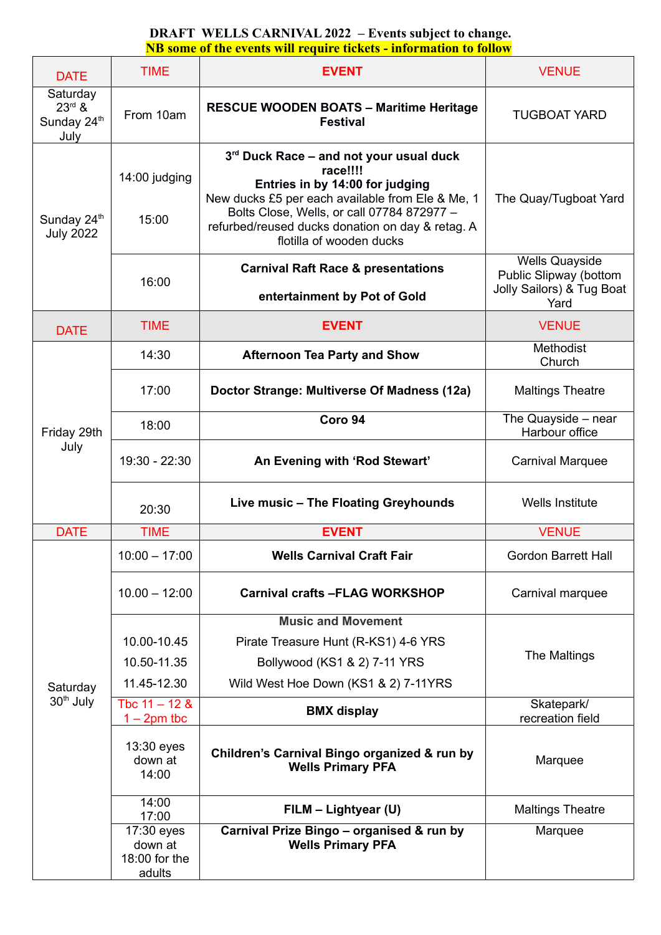| <b>DATE</b>                                 | <b>TIME</b>                                      | <b>EVENT</b>                                                                                                                                                                                                                                                             | <b>VENUE</b>                                                                         |
|---------------------------------------------|--------------------------------------------------|--------------------------------------------------------------------------------------------------------------------------------------------------------------------------------------------------------------------------------------------------------------------------|--------------------------------------------------------------------------------------|
| Saturday<br>$23rd$ &<br>Sunday 24th<br>July | From 10am                                        | <b>RESCUE WOODEN BOATS - Maritime Heritage</b><br><b>Festival</b>                                                                                                                                                                                                        | <b>TUGBOAT YARD</b>                                                                  |
| Sunday 24 <sup>th</sup><br><b>July 2022</b> | 14:00 judging<br>15:00                           | 3rd Duck Race – and not your usual duck<br>race!!!!<br>Entries in by 14:00 for judging<br>New ducks £5 per each available from Ele & Me, 1<br>Bolts Close, Wells, or call 07784 872977 -<br>refurbed/reused ducks donation on day & retag. A<br>flotilla of wooden ducks | The Quay/Tugboat Yard                                                                |
|                                             | 16:00                                            | <b>Carnival Raft Race &amp; presentations</b><br>entertainment by Pot of Gold                                                                                                                                                                                            | <b>Wells Quayside</b><br>Public Slipway (bottom<br>Jolly Sailors) & Tug Boat<br>Yard |
| <b>DATE</b>                                 | <b>TIME</b>                                      | <b>EVENT</b>                                                                                                                                                                                                                                                             | <b>VENUE</b>                                                                         |
|                                             | 14:30                                            | <b>Afternoon Tea Party and Show</b>                                                                                                                                                                                                                                      | Methodist<br>Church                                                                  |
|                                             | 17:00                                            | Doctor Strange: Multiverse Of Madness (12a)                                                                                                                                                                                                                              | <b>Maltings Theatre</b>                                                              |
| Friday 29th                                 | 18:00                                            | Coro 94                                                                                                                                                                                                                                                                  | The Quayside - near<br>Harbour office                                                |
| July                                        | 19:30 - 22:30                                    | An Evening with 'Rod Stewart'                                                                                                                                                                                                                                            | <b>Carnival Marquee</b>                                                              |
|                                             | 20:30                                            | Live music - The Floating Greyhounds                                                                                                                                                                                                                                     | <b>Wells Institute</b>                                                               |
| <b>DATE</b>                                 | <b>TIME</b>                                      | <b>EVENT</b>                                                                                                                                                                                                                                                             | <b>VENUE</b>                                                                         |
|                                             | $10:00 - 17:00$                                  | <b>Wells Carnival Craft Fair</b>                                                                                                                                                                                                                                         | <b>Gordon Barrett Hall</b>                                                           |
| Saturday<br>30 <sup>th</sup> July           | $10.00 - 12:00$                                  | <b>Carnival crafts -FLAG WORKSHOP</b>                                                                                                                                                                                                                                    | Carnival marquee                                                                     |
|                                             | 10.00-10.45<br>10.50-11.35<br>11.45-12.30        | <b>Music and Movement</b><br>Pirate Treasure Hunt (R-KS1) 4-6 YRS<br>Bollywood (KS1 & 2) 7-11 YRS<br>Wild West Hoe Down (KS1 & 2) 7-11YRS                                                                                                                                | The Maltings                                                                         |
|                                             | Tbc $11 - 12$ &<br>$1 - 2pm$ tbc                 | <b>BMX display</b>                                                                                                                                                                                                                                                       | Skatepark/<br>recreation field                                                       |
|                                             | 13:30 eyes<br>down at<br>14:00                   | Children's Carnival Bingo organized & run by<br><b>Wells Primary PFA</b>                                                                                                                                                                                                 | Marquee                                                                              |
|                                             | 14:00<br>17:00                                   | FILM - Lightyear (U)                                                                                                                                                                                                                                                     | <b>Maltings Theatre</b>                                                              |
|                                             | 17:30 eyes<br>down at<br>18:00 for the<br>adults | Carnival Prize Bingo - organised & run by<br><b>Wells Primary PFA</b>                                                                                                                                                                                                    | Marquee                                                                              |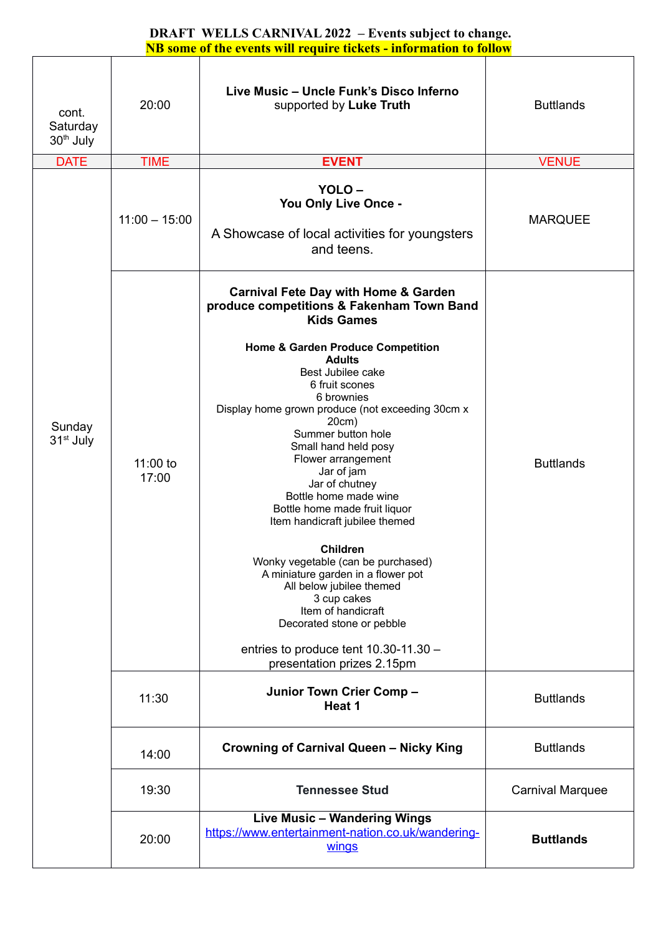| cont.<br>Saturday<br>30 <sup>th</sup> July | 20:00             | Live Music - Uncle Funk's Disco Inferno<br>supported by Luke Truth                                                                                                                                                                                                                                                                                                                                                                                                                                                                                                                                                                                                                                                                                            | <b>Buttlands</b>        |
|--------------------------------------------|-------------------|---------------------------------------------------------------------------------------------------------------------------------------------------------------------------------------------------------------------------------------------------------------------------------------------------------------------------------------------------------------------------------------------------------------------------------------------------------------------------------------------------------------------------------------------------------------------------------------------------------------------------------------------------------------------------------------------------------------------------------------------------------------|-------------------------|
| <b>DATE</b>                                | <b>TIME</b>       | <b>EVENT</b>                                                                                                                                                                                                                                                                                                                                                                                                                                                                                                                                                                                                                                                                                                                                                  | <b>VENUE</b>            |
| Sunday<br>31 <sup>st</sup> July            | $11:00 - 15:00$   | YOLO-<br>You Only Live Once -<br>A Showcase of local activities for youngsters<br>and teens.                                                                                                                                                                                                                                                                                                                                                                                                                                                                                                                                                                                                                                                                  | <b>MARQUEE</b>          |
|                                            | 11:00 to<br>17:00 | <b>Carnival Fete Day with Home &amp; Garden</b><br>produce competitions & Fakenham Town Band<br><b>Kids Games</b><br>Home & Garden Produce Competition<br><b>Adults</b><br>Best Jubilee cake<br>6 fruit scones<br>6 brownies<br>Display home grown produce (not exceeding 30cm x<br>20cm)<br>Summer button hole<br>Small hand held posy<br>Flower arrangement<br>Jar of jam<br>Jar of chutney<br>Bottle home made wine<br>Bottle home made fruit liquor<br>Item handicraft jubilee themed<br><b>Children</b><br>Wonky vegetable (can be purchased)<br>A miniature garden in a flower pot<br>All below jubilee themed<br>3 cup cakes<br>Item of handicraft<br>Decorated stone or pebble<br>entries to produce tent 10.30-11.30 -<br>presentation prizes 2.15pm | <b>Buttlands</b>        |
|                                            | 11:30             | Junior Town Crier Comp -<br>Heat 1                                                                                                                                                                                                                                                                                                                                                                                                                                                                                                                                                                                                                                                                                                                            | <b>Buttlands</b>        |
|                                            | 14:00             | <b>Crowning of Carnival Queen - Nicky King</b>                                                                                                                                                                                                                                                                                                                                                                                                                                                                                                                                                                                                                                                                                                                | <b>Buttlands</b>        |
|                                            | 19:30             | <b>Tennessee Stud</b>                                                                                                                                                                                                                                                                                                                                                                                                                                                                                                                                                                                                                                                                                                                                         | <b>Carnival Marquee</b> |
|                                            | 20:00             | Live Music - Wandering Wings<br>https://www.entertainment-nation.co.uk/wandering-<br>wings                                                                                                                                                                                                                                                                                                                                                                                                                                                                                                                                                                                                                                                                    | <b>Buttlands</b>        |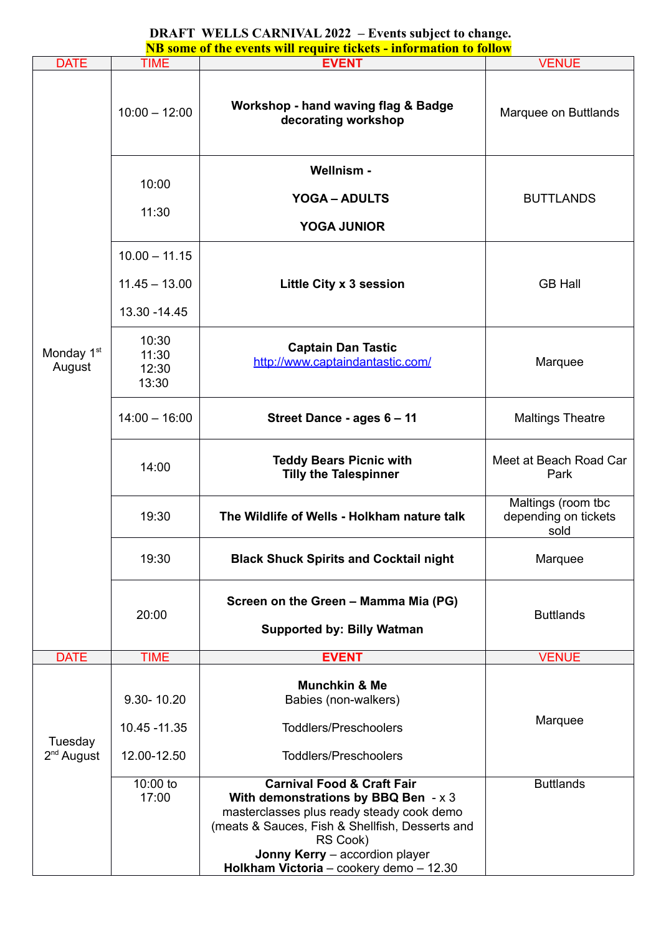# **DRAFT WELLS CARNIVAL 2022 – Events subject to change.**

| NB some of the events will require tickets - information to follow |                                                     |                                                                                                                                                                                                                                                                           |                                                    |  |
|--------------------------------------------------------------------|-----------------------------------------------------|---------------------------------------------------------------------------------------------------------------------------------------------------------------------------------------------------------------------------------------------------------------------------|----------------------------------------------------|--|
| <b>DATE</b>                                                        | <b>TIME</b>                                         | <b>EVENT</b>                                                                                                                                                                                                                                                              | <b>VENUE</b>                                       |  |
|                                                                    | $10:00 - 12:00$                                     | <b>Workshop - hand waving flag &amp; Badge</b><br>decorating workshop                                                                                                                                                                                                     | Marquee on Buttlands                               |  |
|                                                                    | 10:00<br>11:30                                      | Wellnism -<br><b>YOGA - ADULTS</b>                                                                                                                                                                                                                                        | <b>BUTTLANDS</b>                                   |  |
|                                                                    |                                                     | <b>YOGA JUNIOR</b>                                                                                                                                                                                                                                                        |                                                    |  |
| Monday 1 <sup>st</sup><br>August                                   | $10.00 - 11.15$<br>$11.45 - 13.00$<br>13.30 - 14.45 | Little City x 3 session                                                                                                                                                                                                                                                   | <b>GB Hall</b>                                     |  |
|                                                                    | 10:30<br>11:30<br>12:30<br>13:30                    | <b>Captain Dan Tastic</b><br>http://www.captaindantastic.com/                                                                                                                                                                                                             | Marquee                                            |  |
|                                                                    | $14:00 - 16:00$                                     | Street Dance - ages 6 - 11                                                                                                                                                                                                                                                | <b>Maltings Theatre</b>                            |  |
|                                                                    | 14:00                                               | <b>Teddy Bears Picnic with</b><br><b>Tilly the Talespinner</b>                                                                                                                                                                                                            | Meet at Beach Road Car<br>Park                     |  |
|                                                                    | 19:30                                               | The Wildlife of Wells - Holkham nature talk                                                                                                                                                                                                                               | Maltings (room tbc<br>depending on tickets<br>sold |  |
|                                                                    | 19:30                                               | <b>Black Shuck Spirits and Cocktail night</b>                                                                                                                                                                                                                             | Marquee                                            |  |
|                                                                    | 20:00                                               | Screen on the Green - Mamma Mia (PG)<br><b>Supported by: Billy Watman</b>                                                                                                                                                                                                 | <b>Buttlands</b>                                   |  |
| <b>DATE</b>                                                        | <b>TIME</b>                                         | <b>EVENT</b>                                                                                                                                                                                                                                                              | <b>VENUE</b>                                       |  |
| Tuesday<br>$2nd$ August                                            | 9.30-10.20<br>10.45 - 11.35<br>12.00-12.50          | <b>Munchkin &amp; Me</b><br>Babies (non-walkers)<br><b>Toddlers/Preschoolers</b><br><b>Toddlers/Preschoolers</b>                                                                                                                                                          | Marquee                                            |  |
|                                                                    | 10:00 to<br>17:00                                   | <b>Carnival Food &amp; Craft Fair</b><br>With demonstrations by BBQ Ben $- x 3 $<br>masterclasses plus ready steady cook demo<br>(meats & Sauces, Fish & Shellfish, Desserts and<br>RS Cook)<br>Jonny Kerry - accordion player<br>Holkham Victoria - cookery demo - 12.30 | <b>Buttlands</b>                                   |  |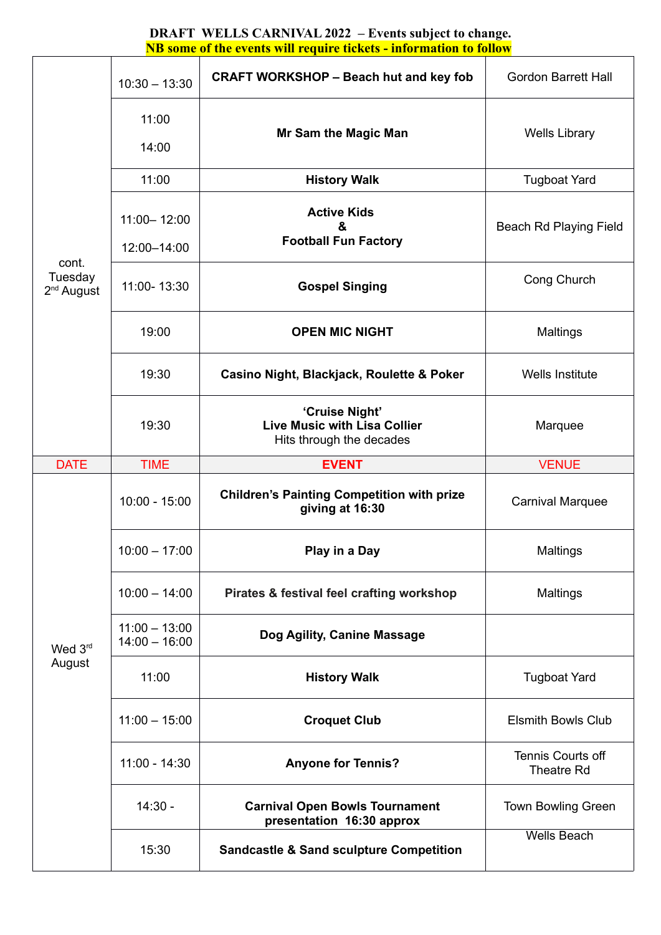|                                  |                                    | <u>NB some of the events will require tickets - information to follow</u>         |                                               |
|----------------------------------|------------------------------------|-----------------------------------------------------------------------------------|-----------------------------------------------|
| cont.<br>Tuesday<br>$2nd$ August | $10:30 - 13:30$                    | <b>CRAFT WORKSHOP - Beach hut and key fob</b>                                     | <b>Gordon Barrett Hall</b>                    |
|                                  | 11:00<br>14:00                     | Mr Sam the Magic Man                                                              | <b>Wells Library</b>                          |
|                                  | 11:00                              | <b>History Walk</b>                                                               | <b>Tugboat Yard</b>                           |
|                                  | $11:00 - 12:00$<br>12:00-14:00     | <b>Active Kids</b><br>&<br><b>Football Fun Factory</b>                            | Beach Rd Playing Field                        |
|                                  | 11:00-13:30                        | <b>Gospel Singing</b>                                                             | Cong Church                                   |
|                                  | 19:00                              | <b>OPEN MIC NIGHT</b>                                                             | <b>Maltings</b>                               |
|                                  | 19:30                              | Casino Night, Blackjack, Roulette & Poker                                         | <b>Wells Institute</b>                        |
|                                  | 19:30                              | 'Cruise Night'<br><b>Live Music with Lisa Collier</b><br>Hits through the decades | Marquee                                       |
| <b>DATE</b>                      | <b>TIME</b>                        | <b>EVENT</b>                                                                      | <b>VENUE</b>                                  |
|                                  | $10:00 - 15:00$                    | <b>Children's Painting Competition with prize</b><br>giving at 16:30              | <b>Carnival Marquee</b>                       |
|                                  | $10:00 - 17:00$                    | Play in a Day                                                                     | <b>Maltings</b>                               |
| Wed 3rd<br>August                | $10:00 - 14:00$                    | Pirates & festival feel crafting workshop                                         | <b>Maltings</b>                               |
|                                  | $11:00 - 13:00$<br>$14:00 - 16:00$ | Dog Agility, Canine Massage                                                       |                                               |
|                                  | 11:00                              | <b>History Walk</b>                                                               | <b>Tugboat Yard</b>                           |
|                                  | $11:00 - 15:00$                    | <b>Croquet Club</b>                                                               | <b>Elsmith Bowls Club</b>                     |
|                                  | $11:00 - 14:30$                    | <b>Anyone for Tennis?</b>                                                         | <b>Tennis Courts off</b><br><b>Theatre Rd</b> |
|                                  | $14:30 -$                          | <b>Carnival Open Bowls Tournament</b><br>presentation 16:30 approx                | <b>Town Bowling Green</b>                     |
|                                  | 15:30                              | <b>Sandcastle &amp; Sand sculpture Competition</b>                                | <b>Wells Beach</b>                            |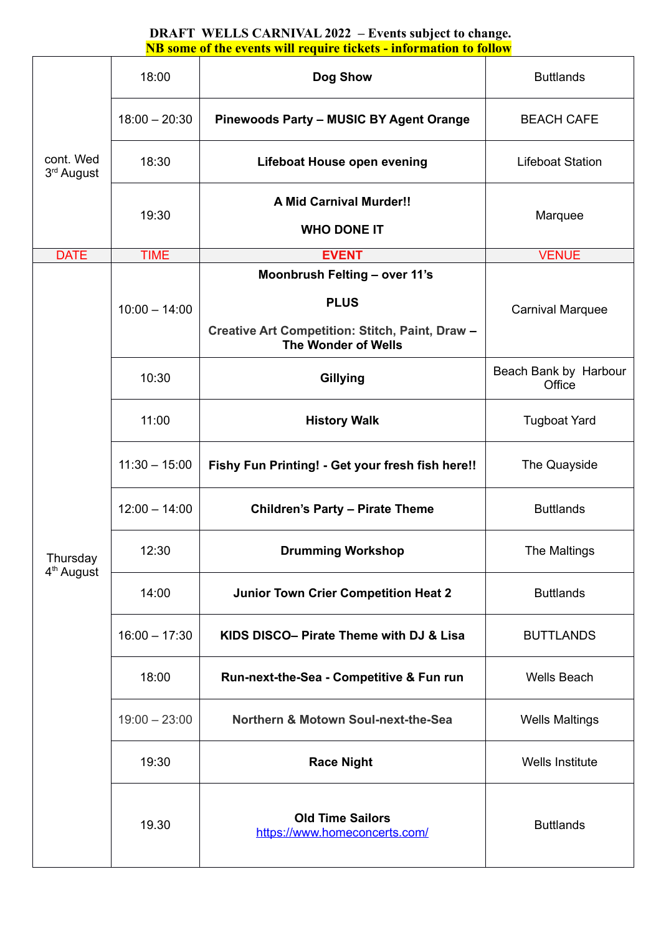| cont. Wed<br>3 <sup>rd</sup> August | 18:00           | Dog Show                                                               | <b>Buttlands</b>                |
|-------------------------------------|-----------------|------------------------------------------------------------------------|---------------------------------|
|                                     | $18:00 - 20:30$ | <b>Pinewoods Party - MUSIC BY Agent Orange</b>                         | <b>BEACH CAFE</b>               |
|                                     | 18:30           | Lifeboat House open evening                                            | <b>Lifeboat Station</b>         |
|                                     | 19:30           | <b>A Mid Carnival Murder!!</b><br><b>WHO DONE IT</b>                   | Marquee                         |
|                                     |                 |                                                                        |                                 |
| <b>DATE</b>                         | <b>TIME</b>     | <b>EVENT</b><br>Moonbrush Felting - over 11's                          | <b>VENUE</b>                    |
|                                     | $10:00 - 14:00$ | <b>PLUS</b>                                                            | <b>Carnival Marquee</b>         |
|                                     |                 | Creative Art Competition: Stitch, Paint, Draw -<br>The Wonder of Wells |                                 |
|                                     | 10:30           | Gillying                                                               | Beach Bank by Harbour<br>Office |
|                                     | 11:00           | <b>History Walk</b>                                                    | <b>Tugboat Yard</b>             |
|                                     | $11:30 - 15:00$ | Fishy Fun Printing! - Get your fresh fish here!!                       | The Quayside                    |
|                                     | $12:00 - 14:00$ | <b>Children's Party - Pirate Theme</b>                                 | <b>Buttlands</b>                |
| Thursday<br>4 <sup>th</sup> August  | 12:30           | <b>Drumming Workshop</b>                                               | The Maltings                    |
|                                     | 14:00           | <b>Junior Town Crier Competition Heat 2</b>                            | <b>Buttlands</b>                |
|                                     | $16:00 - 17:30$ | KIDS DISCO- Pirate Theme with DJ & Lisa                                | <b>BUTTLANDS</b>                |
|                                     | 18:00           | Run-next-the-Sea - Competitive & Fun run                               | <b>Wells Beach</b>              |
|                                     | $19:00 - 23:00$ | Northern & Motown Soul-next-the-Sea                                    | <b>Wells Maltings</b>           |
|                                     | 19:30           | <b>Race Night</b>                                                      | Wells Institute                 |
|                                     | 19.30           | <b>Old Time Sailors</b><br>https://www.homeconcerts.com/               | <b>Buttlands</b>                |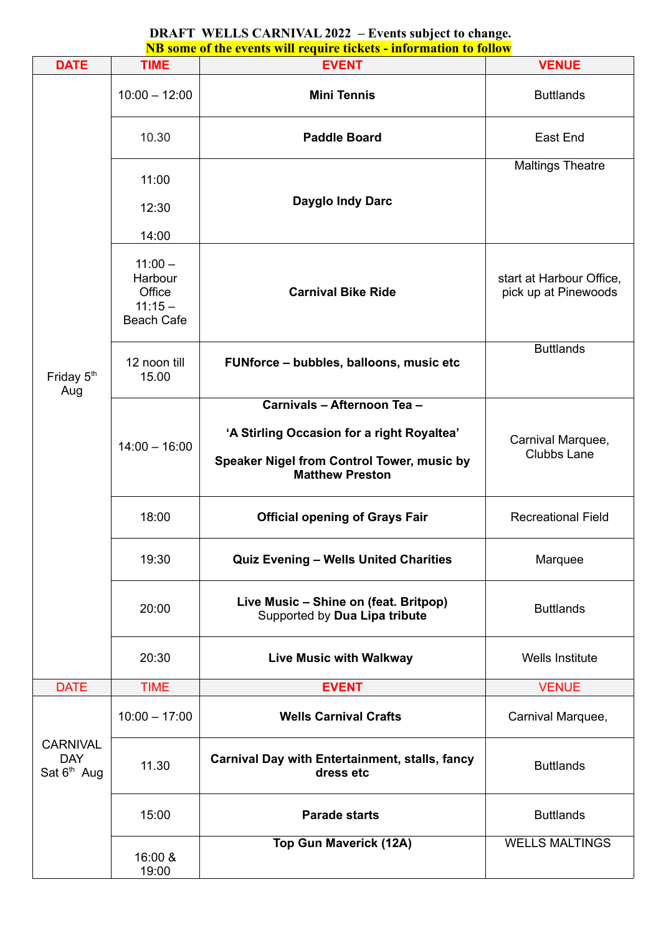| <b>DATE</b>                                    | <b>TIME</b>                                                               | <b>EVENT</b>                                                           | <b>VENUE</b>                                     |
|------------------------------------------------|---------------------------------------------------------------------------|------------------------------------------------------------------------|--------------------------------------------------|
|                                                | $10:00 - 12:00$                                                           | <b>Mini Tennis</b>                                                     | <b>Buttlands</b>                                 |
|                                                | 10.30                                                                     | <b>Paddle Board</b>                                                    | East End                                         |
|                                                | 11:00                                                                     |                                                                        | <b>Maltings Theatre</b>                          |
|                                                | 12:30                                                                     | Dayglo Indy Darc                                                       |                                                  |
|                                                |                                                                           |                                                                        |                                                  |
| Friday 5 <sup>th</sup>                         | 14:00<br>$11:00 -$<br>Harbour<br>Office<br>$11:15 -$<br><b>Beach Cafe</b> | <b>Carnival Bike Ride</b>                                              | start at Harbour Office,<br>pick up at Pinewoods |
|                                                | 12 noon till<br>15.00                                                     | FUNforce - bubbles, balloons, music etc                                | <b>Buttlands</b>                                 |
| Aug                                            |                                                                           | Carnivals - Afternoon Tea -                                            |                                                  |
|                                                | $14:00 - 16:00$                                                           | 'A Stirling Occasion for a right Royaltea'                             | Carnival Marquee,                                |
|                                                |                                                                           | Speaker Nigel from Control Tower, music by<br><b>Matthew Preston</b>   | <b>Clubbs Lane</b>                               |
|                                                | 18:00                                                                     | <b>Official opening of Grays Fair</b>                                  | <b>Recreational Field</b>                        |
|                                                | 19:30                                                                     | <b>Quiz Evening - Wells United Charities</b>                           | Marquee                                          |
|                                                | 20:00                                                                     | Live Music - Shine on (feat. Britpop)<br>Supported by Dua Lipa tribute | <b>Buttlands</b>                                 |
|                                                | 20:30                                                                     | <b>Live Music with Walkway</b>                                         | <b>Wells Institute</b>                           |
| <b>DATE</b>                                    | <b>TIME</b>                                                               | <b>EVENT</b>                                                           | <b>VENUE</b>                                     |
| <b>CARNIVAL</b><br><b>DAY</b><br>Sat $6th$ Aug | $10:00 - 17:00$                                                           | <b>Wells Carnival Crafts</b>                                           | Carnival Marquee,                                |
|                                                | 11.30                                                                     | <b>Carnival Day with Entertainment, stalls, fancy</b><br>dress etc     | <b>Buttlands</b>                                 |
|                                                | 15:00                                                                     | <b>Parade starts</b>                                                   | <b>Buttlands</b>                                 |
|                                                | 16:00 &<br>19:00                                                          | <b>Top Gun Maverick (12A)</b>                                          | <b>WELLS MALTINGS</b>                            |